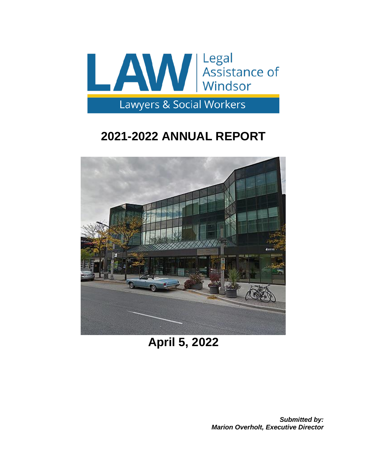

# **2021-2022 ANNUAL REPORT**



**April 5, 2022**

*Submitted by: Marion Overholt, Executive Director*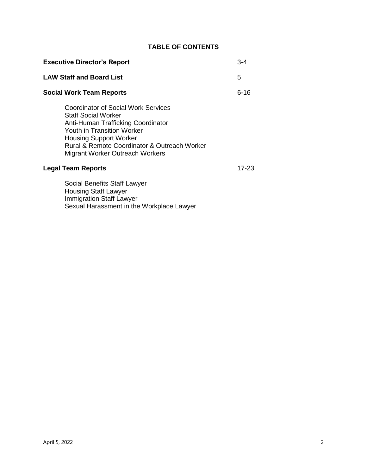# **TABLE OF CONTENTS**

| <b>Executive Director's Report</b> |                                                                                                                                                                                                                                                           | $3 - 4$ |
|------------------------------------|-----------------------------------------------------------------------------------------------------------------------------------------------------------------------------------------------------------------------------------------------------------|---------|
| <b>LAW Staff and Board List</b>    |                                                                                                                                                                                                                                                           | 5       |
| <b>Social Work Team Reports</b>    |                                                                                                                                                                                                                                                           | 6-16    |
|                                    | Coordinator of Social Work Services<br><b>Staff Social Worker</b><br>Anti-Human Trafficking Coordinator<br>Youth in Transition Worker<br><b>Housing Support Worker</b><br>Rural & Remote Coordinator & Outreach Worker<br>Migrant Worker Outreach Workers |         |
| <b>Legal Team Reports</b>          |                                                                                                                                                                                                                                                           | 17-23   |
|                                    | Social Benefits Staff Lawyer<br><b>Housing Staff Lawyer</b>                                                                                                                                                                                               |         |

Immigration Staff Lawyer

Sexual Harassment in the Workplace Lawyer

April 5, 2022 2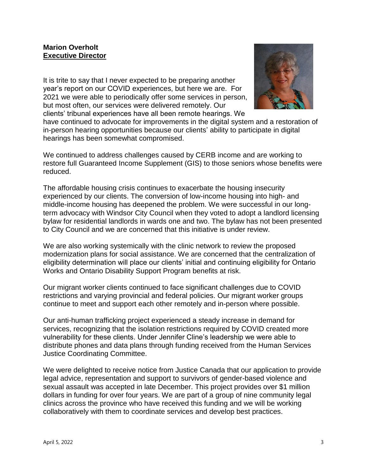## **Marion Overholt Executive Director**

It is trite to say that I never expected to be preparing another year's report on our COVID experiences, but here we are. For 2021 we were able to periodically offer some services in person, but most often, our services were delivered remotely. Our clients' tribunal experiences have all been remote hearings. We



have continued to advocate for improvements in the digital system and a restoration of in-person hearing opportunities because our clients' ability to participate in digital hearings has been somewhat compromised.

We continued to address challenges caused by CERB income and are working to restore full Guaranteed Income Supplement (GIS) to those seniors whose benefits were reduced.

The affordable housing crisis continues to exacerbate the housing insecurity experienced by our clients. The conversion of low-income housing into high- and middle-income housing has deepened the problem. We were successful in our longterm advocacy with Windsor City Council when they voted to adopt a landlord licensing bylaw for residential landlords in wards one and two. The bylaw has not been presented to City Council and we are concerned that this initiative is under review.

We are also working systemically with the clinic network to review the proposed modernization plans for social assistance. We are concerned that the centralization of eligibility determination will place our clients' initial and continuing eligibility for Ontario Works and Ontario Disability Support Program benefits at risk.

Our migrant worker clients continued to face significant challenges due to COVID restrictions and varying provincial and federal policies. Our migrant worker groups continue to meet and support each other remotely and in-person where possible.

Our anti-human trafficking project experienced a steady increase in demand for services, recognizing that the isolation restrictions required by COVID created more vulnerability for these clients. Under Jennifer Cline's leadership we were able to distribute phones and data plans through funding received from the Human Services Justice Coordinating Committee.

We were delighted to receive notice from Justice Canada that our application to provide legal advice, representation and support to survivors of gender-based violence and sexual assault was accepted in late December. This project provides over \$1 million dollars in funding for over four years. We are part of a group of nine community legal clinics across the province who have received this funding and we will be working collaboratively with them to coordinate services and develop best practices.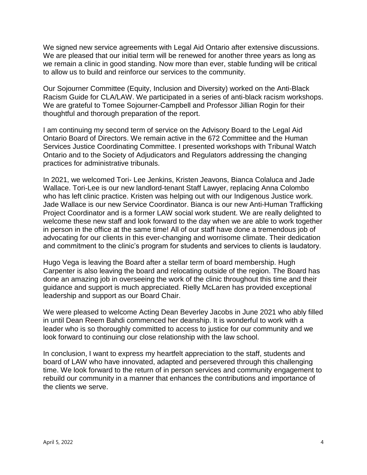We signed new service agreements with Legal Aid Ontario after extensive discussions. We are pleased that our initial term will be renewed for another three years as long as we remain a clinic in good standing. Now more than ever, stable funding will be critical to allow us to build and reinforce our services to the community.

Our Sojourner Committee (Equity, Inclusion and Diversity) worked on the Anti-Black Racism Guide for CLA/LAW. We participated in a series of anti-black racism workshops. We are grateful to Tomee Sojourner-Campbell and Professor Jillian Rogin for their thoughtful and thorough preparation of the report.

I am continuing my second term of service on the Advisory Board to the Legal Aid Ontario Board of Directors. We remain active in the 672 Committee and the Human Services Justice Coordinating Committee. I presented workshops with Tribunal Watch Ontario and to the Society of Adjudicators and Regulators addressing the changing practices for administrative tribunals.

In 2021, we welcomed Tori- Lee Jenkins, Kristen Jeavons, Bianca Colaluca and Jade Wallace. Tori-Lee is our new landlord-tenant Staff Lawyer, replacing Anna Colombo who has left clinic practice. Kristen was helping out with our Indigenous Justice work. Jade Wallace is our new Service Coordinator. Bianca is our new Anti-Human Trafficking Project Coordinator and is a former LAW social work student. We are really delighted to welcome these new staff and look forward to the day when we are able to work together in person in the office at the same time! All of our staff have done a tremendous job of advocating for our clients in this ever-changing and worrisome climate. Their dedication and commitment to the clinic's program for students and services to clients is laudatory.

Hugo Vega is leaving the Board after a stellar term of board membership. Hugh Carpenter is also leaving the board and relocating outside of the region. The Board has done an amazing job in overseeing the work of the clinic throughout this time and their guidance and support is much appreciated. Rielly McLaren has provided exceptional leadership and support as our Board Chair.

We were pleased to welcome Acting Dean Beverley Jacobs in June 2021 who ably filled in until Dean Reem Bahdi commenced her deanship. It is wonderful to work with a leader who is so thoroughly committed to access to justice for our community and we look forward to continuing our close relationship with the law school.

In conclusion, I want to express my heartfelt appreciation to the staff, students and board of LAW who have innovated, adapted and persevered through this challenging time. We look forward to the return of in person services and community engagement to rebuild our community in a manner that enhances the contributions and importance of the clients we serve.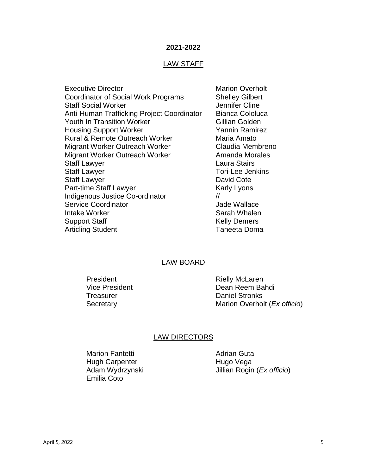#### **2021-2022**

#### LAW STAFF

Executive Director **Marion Overholt** Marion Overholt Coordinator of Social Work Programs Shelley Gilbert Staff Social Worker **Jennifer Cline** Anti-Human Trafficking Project Coordinator Bianca Cololuca Youth In Transition Worker Gillian Golden Housing Support Worker Yannin Ramirez Rural & Remote Outreach Worker Maria Amato Migrant Worker Outreach Worker Claudia Membreno Migrant Worker Outreach Worker **Amanda Morales** Staff Lawyer **Laura Stairs** Staff Lawyer Tori-Lee Jenkins Staff Lawyer **David Cote** Part-time Staff Lawyer Karly Lyons Indigenous Justice Co-ordinator // Service Coordinator **Contracts** Coordinator **Jade Wallace** Intake Worker **Sarah Whalen** Sarah Whalen Support Staff Kelly Demers Articling Student **Taneeta** Doma

#### LAW BOARD

President Rielly McLaren

Vice President **Dean Reem Bahdi** Treasurer **Daniel Stronks** Secretary **Marion Overholt** (*Ex officio*)

#### LAW DIRECTORS

Marion Fantetti **Adrian Guta** Hugh Carpenter **Hugo Vega** Emilia Coto

Adam Wydrzynski Jillian Rogin (*Ex officio*)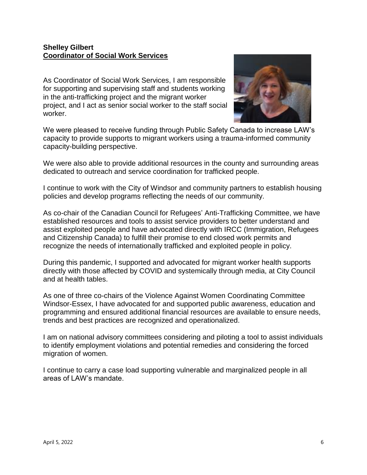## **Shelley Gilbert Coordinator of Social Work Services**

As Coordinator of Social Work Services, I am responsible for supporting and supervising staff and students working in the anti-trafficking project and the migrant worker project, and I act as senior social worker to the staff social worker.



We were pleased to receive funding through Public Safety Canada to increase LAW's capacity to provide supports to migrant workers using a trauma-informed community capacity-building perspective.

We were also able to provide additional resources in the county and surrounding areas dedicated to outreach and service coordination for trafficked people.

I continue to work with the City of Windsor and community partners to establish housing policies and develop programs reflecting the needs of our community.

As co-chair of the Canadian Council for Refugees' Anti-Trafficking Committee, we have established resources and tools to assist service providers to better understand and assist exploited people and have advocated directly with IRCC (Immigration, Refugees and Citizenship Canada) to fulfill their promise to end closed work permits and recognize the needs of internationally trafficked and exploited people in policy.

During this pandemic, I supported and advocated for migrant worker health supports directly with those affected by COVID and systemically through media, at City Council and at health tables.

As one of three co-chairs of the Violence Against Women Coordinating Committee Windsor-Essex, I have advocated for and supported public awareness, education and programming and ensured additional financial resources are available to ensure needs, trends and best practices are recognized and operationalized.

I am on national advisory committees considering and piloting a tool to assist individuals to identify employment violations and potential remedies and considering the forced migration of women.

I continue to carry a case load supporting vulnerable and marginalized people in all areas of LAW's mandate.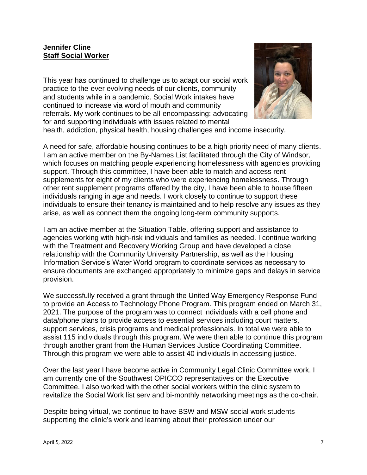## **Jennifer Cline Staff Social Worker**

This year has continued to challenge us to adapt our social work practice to the-ever evolving needs of our clients, community and students while in a pandemic. Social Work intakes have continued to increase via word of mouth and community referrals. My work continues to be all-encompassing: advocating for and supporting individuals with issues related to mental



health, addiction, physical health, housing challenges and income insecurity.

A need for safe, affordable housing continues to be a high priority need of many clients. I am an active member on the By-Names List facilitated through the City of Windsor, which focuses on matching people experiencing homelessness with agencies providing support. Through this committee, I have been able to match and access rent supplements for eight of my clients who were experiencing homelessness. Through other rent supplement programs offered by the city, I have been able to house fifteen individuals ranging in age and needs. I work closely to continue to support these individuals to ensure their tenancy is maintained and to help resolve any issues as they arise, as well as connect them the ongoing long-term community supports.

I am an active member at the Situation Table, offering support and assistance to agencies working with high-risk individuals and families as needed. I continue working with the Treatment and Recovery Working Group and have developed a close relationship with the Community University Partnership, as well as the Housing Information Service's Water World program to coordinate services as necessary to ensure documents are exchanged appropriately to minimize gaps and delays in service provision.

We successfully received a grant through the United Way Emergency Response Fund to provide an Access to Technology Phone Program. This program ended on March 31, 2021. The purpose of the program was to connect individuals with a cell phone and data/phone plans to provide access to essential services including court matters, support services, crisis programs and medical professionals. In total we were able to assist 115 individuals through this program. We were then able to continue this program through another grant from the Human Services Justice Coordinating Committee. Through this program we were able to assist 40 individuals in accessing justice.

Over the last year I have become active in Community Legal Clinic Committee work. I am currently one of the Southwest OPICCO representatives on the Executive Committee. I also worked with the other social workers within the clinic system to revitalize the Social Work list serv and bi-monthly networking meetings as the co-chair.

Despite being virtual, we continue to have BSW and MSW social work students supporting the clinic's work and learning about their profession under our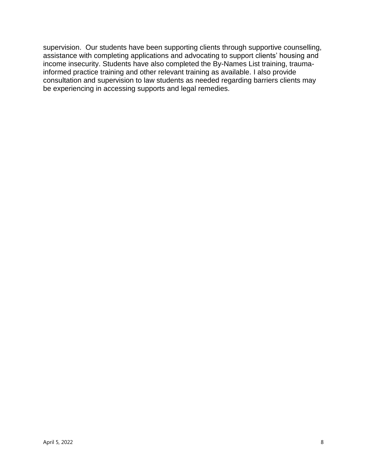supervision. Our students have been supporting clients through supportive counselling, assistance with completing applications and advocating to support clients' housing and income insecurity. Students have also completed the By-Names List training, traumainformed practice training and other relevant training as available. I also provide consultation and supervision to law students as needed regarding barriers clients may be experiencing in accessing supports and legal remedies.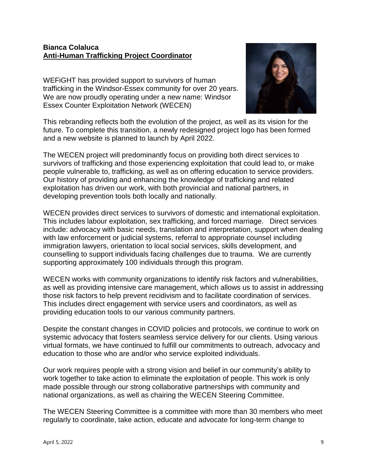## **Bianca Colaluca Anti-Human Trafficking Project Coordinator**

WEFiGHT has provided support to survivors of human trafficking in the Windsor-Essex community for over 20 years. We are now proudly operating under a new name: Windsor Essex Counter Exploitation Network (WECEN)



This rebranding reflects both the evolution of the project, as well as its vision for the future. To complete this transition, a newly redesigned project logo has been formed and a new website is planned to launch by April 2022.

The WECEN project will predominantly focus on providing both direct services to survivors of trafficking and those experiencing exploitation that could lead to, or make people vulnerable to, trafficking, as well as on offering education to service providers. Our history of providing and enhancing the knowledge of trafficking and related exploitation has driven our work, with both provincial and national partners, in developing prevention tools both locally and nationally.

WECEN provides direct services to survivors of domestic and international exploitation. This includes labour exploitation, sex trafficking, and forced marriage. Direct services include: advocacy with basic needs, translation and interpretation, support when dealing with law enforcement or judicial systems, referral to appropriate counsel including immigration lawyers, orientation to local social services, skills development, and counselling to support individuals facing challenges due to trauma. We are currently supporting approximately 100 individuals through this program.

WECEN works with community organizations to identify risk factors and vulnerabilities, as well as providing intensive care management, which allows us to assist in addressing those risk factors to help prevent recidivism and to facilitate coordination of services. This includes direct engagement with service users and coordinators, as well as providing education tools to our various community partners.

Despite the constant changes in COVID policies and protocols, we continue to work on systemic advocacy that fosters seamless service delivery for our clients. Using various virtual formats, we have continued to fulfill our commitments to outreach, advocacy and education to those who are and/or who service exploited individuals.

Our work requires people with a strong vision and belief in our community's ability to work together to take action to eliminate the exploitation of people. This work is only made possible through our strong collaborative partnerships with community and national organizations, as well as chairing the WECEN Steering Committee.

The WECEN Steering Committee is a committee with more than 30 members who meet regularly to coordinate, take action, educate and advocate for long-term change to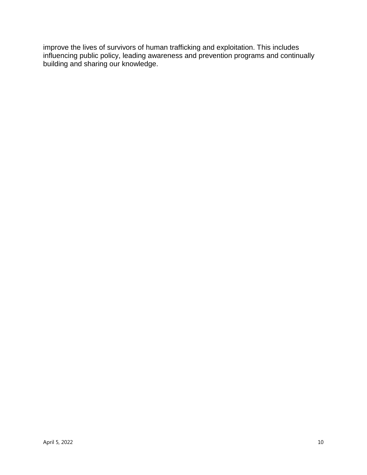improve the lives of survivors of human trafficking and exploitation. This includes influencing public policy, leading awareness and prevention programs and continually building and sharing our knowledge.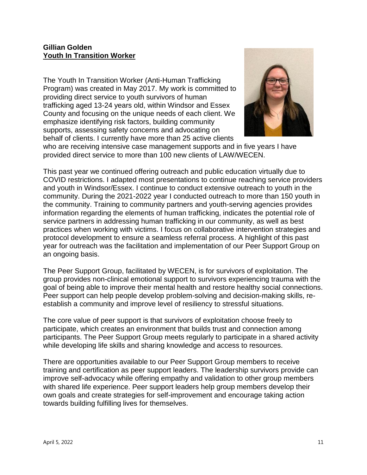## **Gillian Golden Youth In Transition Worker**

The Youth In Transition Worker (Anti-Human Trafficking Program) was created in May 2017. My work is committed to providing direct service to youth survivors of human trafficking aged 13-24 years old, within Windsor and Essex County and focusing on the unique needs of each client. We emphasize identifying risk factors, building community supports, assessing safety concerns and advocating on behalf of clients. I currently have more than 25 active clients



who are receiving intensive case management supports and in five years I have provided direct service to more than 100 new clients of LAW/WECEN.

This past year we continued offering outreach and public education virtually due to COVID restrictions. I adapted most presentations to continue reaching service providers and youth in Windsor/Essex. I continue to conduct extensive outreach to youth in the community. During the 2021-2022 year I conducted outreach to more than 150 youth in the community. Training to community partners and youth-serving agencies provides information regarding the elements of human trafficking, indicates the potential role of service partners in addressing human trafficking in our community, as well as best practices when working with victims. I focus on collaborative intervention strategies and protocol development to ensure a seamless referral process. A highlight of this past year for outreach was the facilitation and implementation of our Peer Support Group on an ongoing basis.

The Peer Support Group, facilitated by WECEN, is for survivors of exploitation. The group provides non-clinical emotional support to survivors experiencing trauma with the goal of being able to improve their mental health and restore healthy social connections. Peer support can help people develop problem-solving and decision-making skills, reestablish a community and improve level of resiliency to stressful situations.

The core value of peer support is that survivors of exploitation choose freely to participate, which creates an environment that builds trust and connection among participants. The Peer Support Group meets regularly to participate in a shared activity while developing life skills and sharing knowledge and access to resources.

There are opportunities available to our Peer Support Group members to receive training and certification as peer support leaders. The leadership survivors provide can improve self-advocacy while offering empathy and validation to other group members with shared life experience. Peer support leaders help group members develop their own goals and create strategies for self-improvement and encourage taking action towards building fulfilling lives for themselves.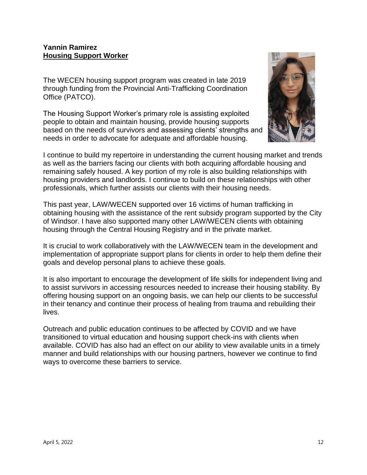#### **Yannin Ramirez Housing Support Worker**

The WECEN housing support program was created in late 2019 through funding from the Provincial Anti-Trafficking Coordination Office (PATCO).

The Housing Support Worker's primary role is assisting exploited people to obtain and maintain housing, provide housing supports based on the needs of survivors and assessing clients' strengths and needs in order to advocate for adequate and affordable housing.



I continue to build my repertoire in understanding the current housing market and trends as well as the barriers facing our clients with both acquiring affordable housing and remaining safely housed. A key portion of my role is also building relationships with housing providers and landlords. I continue to build on these relationships with other professionals, which further assists our clients with their housing needs.

This past year, LAW/WECEN supported over 16 victims of human trafficking in obtaining housing with the assistance of the rent subsidy program supported by the City of Windsor. I have also supported many other LAW/WECEN clients with obtaining housing through the Central Housing Registry and in the private market.

It is crucial to work collaboratively with the LAW/WECEN team in the development and implementation of appropriate support plans for clients in order to help them define their goals and develop personal plans to achieve these goals.

It is also important to encourage the development of life skills for independent living and to assist survivors in accessing resources needed to increase their housing stability. By offering housing support on an ongoing basis, we can help our clients to be successful in their tenancy and continue their process of healing from trauma and rebuilding their lives.

Outreach and public education continues to be affected by COVID and we have transitioned to virtual education and housing support check-ins with clients when available. COVID has also had an effect on our ability to view available units in a timely manner and build relationships with our housing partners, however we continue to find ways to overcome these barriers to service.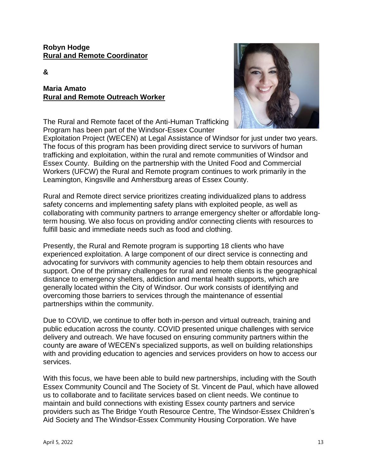#### **Robyn Hodge Rural and Remote Coordinator**

#### **&**

## **Maria Amato Rural and Remote Outreach Worker**

The Rural and Remote facet of the Anti-Human Trafficking Program has been part of the Windsor-Essex Counter



Exploitation Project (WECEN) at Legal Assistance of Windsor for just under two years. The focus of this program has been providing direct service to survivors of human trafficking and exploitation, within the rural and remote communities of Windsor and Essex County. Building on the partnership with the United Food and Commercial Workers (UFCW) the Rural and Remote program continues to work primarily in the Leamington, Kingsville and Amherstburg areas of Essex County.

Rural and Remote direct service prioritizes creating individualized plans to address safety concerns and implementing safety plans with exploited people, as well as collaborating with community partners to arrange emergency shelter or affordable longterm housing. We also focus on providing and/or connecting clients with resources to fulfill basic and immediate needs such as food and clothing.

Presently, the Rural and Remote program is supporting 18 clients who have experienced exploitation. A large component of our direct service is connecting and advocating for survivors with community agencies to help them obtain resources and support. One of the primary challenges for rural and remote clients is the geographical distance to emergency shelters, addiction and mental health supports, which are generally located within the City of Windsor. Our work consists of identifying and overcoming those barriers to services through the maintenance of essential partnerships within the community.

Due to COVID, we continue to offer both in-person and virtual outreach, training and public education across the county. COVID presented unique challenges with service delivery and outreach. We have focused on ensuring community partners within the county are aware of WECEN's specialized supports, as well on building relationships with and providing education to agencies and services providers on how to access our services.

With this focus, we have been able to build new partnerships, including with the South Essex Community Council and The Society of St. Vincent de Paul, which have allowed us to collaborate and to facilitate services based on client needs. We continue to maintain and build connections with existing Essex county partners and service providers such as The Bridge Youth Resource Centre, The Windsor-Essex Children's Aid Society and The Windsor-Essex Community Housing Corporation. We have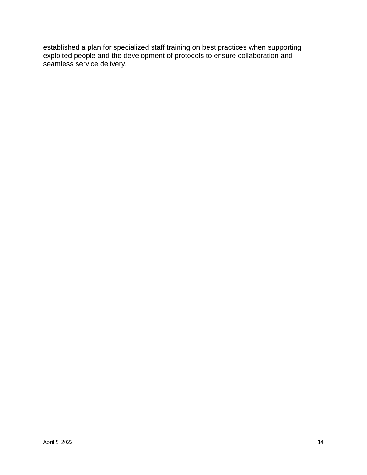established a plan for specialized staff training on best practices when supporting exploited people and the development of protocols to ensure collaboration and seamless service delivery.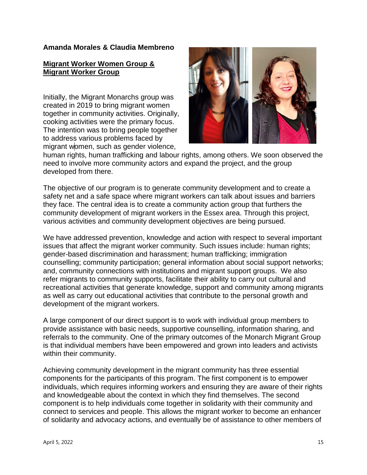#### **Amanda Morales & Claudia Membreno**

## **Migrant Worker Women Group & Migrant Worker Group**

Initially, the Migrant Monarchs group was created in 2019 to bring migrant women together in community activities. Originally, cooking activities were the primary focus. The intention was to bring people together to address various problems faced by migrant women, such as gender violence,



human rights, human trafficking and labour rights, among others. We soon observed the need to involve more community actors and expand the project, and the group developed from there.

The objective of our program is to generate community development and to create a safety net and a safe space where migrant workers can talk about issues and barriers they face. The central idea is to create a community action group that furthers the community development of migrant workers in the Essex area. Through this project, various activities and community development objectives are being pursued.

We have addressed prevention, knowledge and action with respect to several important issues that affect the migrant worker community. Such issues include: human rights; gender-based discrimination and harassment; human trafficking; immigration counselling; community participation; general information about social support networks; and, community connections with institutions and migrant support groups. We also refer migrants to community supports, facilitate their ability to carry out cultural and recreational activities that generate knowledge, support and community among migrants as well as carry out educational activities that contribute to the personal growth and development of the migrant workers.

A large component of our direct support is to work with individual group members to provide assistance with basic needs, supportive counselling, information sharing, and referrals to the community. One of the primary outcomes of the Monarch Migrant Group is that individual members have been empowered and grown into leaders and activists within their community.

Achieving community development in the migrant community has three essential components for the participants of this program. The first component is to empower individuals, which requires informing workers and ensuring they are aware of their rights and knowledgeable about the context in which they find themselves. The second component is to help individuals come together in solidarity with their community and connect to services and people. This allows the migrant worker to become an enhancer of solidarity and advocacy actions, and eventually be of assistance to other members of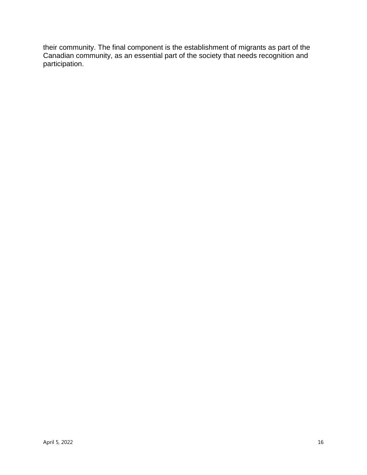their community. The final component is the establishment of migrants as part of the Canadian community, as an essential part of the society that needs recognition and participation.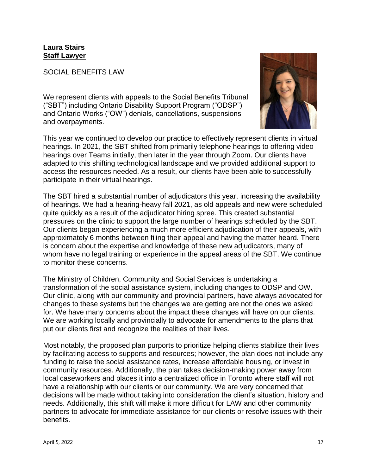## **Laura Stairs Staff Lawyer**

#### SOCIAL BENEFITS LAW

We represent clients with appeals to the Social Benefits Tribunal ("SBT") including Ontario Disability Support Program ("ODSP") and Ontario Works ("OW") denials, cancellations, suspensions and overpayments.



This year we continued to develop our practice to effectively represent clients in virtual hearings. In 2021, the SBT shifted from primarily telephone hearings to offering video hearings over Teams initially, then later in the year through Zoom. Our clients have adapted to this shifting technological landscape and we provided additional support to access the resources needed. As a result, our clients have been able to successfully participate in their virtual hearings.

The SBT hired a substantial number of adjudicators this year, increasing the availability of hearings. We had a hearing-heavy fall 2021, as old appeals and new were scheduled quite quickly as a result of the adjudicator hiring spree. This created substantial pressures on the clinic to support the large number of hearings scheduled by the SBT. Our clients began experiencing a much more efficient adjudication of their appeals, with approximately 6 months between filing their appeal and having the matter heard. There is concern about the expertise and knowledge of these new adjudicators, many of whom have no legal training or experience in the appeal areas of the SBT. We continue to monitor these concerns.

The Ministry of Children, Community and Social Services is undertaking a transformation of the social assistance system, including changes to ODSP and OW. Our clinic, along with our community and provincial partners, have always advocated for changes to these systems but the changes we are getting are not the ones we asked for. We have many concerns about the impact these changes will have on our clients. We are working locally and provincially to advocate for amendments to the plans that put our clients first and recognize the realities of their lives.

Most notably, the proposed plan purports to prioritize helping clients stabilize their lives by facilitating access to supports and resources; however, the plan does not include any funding to raise the social assistance rates, increase affordable housing, or invest in community resources. Additionally, the plan takes decision-making power away from local caseworkers and places it into a centralized office in Toronto where staff will not have a relationship with our clients or our community. We are very concerned that decisions will be made without taking into consideration the client's situation, history and needs. Additionally, this shift will make it more difficult for LAW and other community partners to advocate for immediate assistance for our clients or resolve issues with their benefits.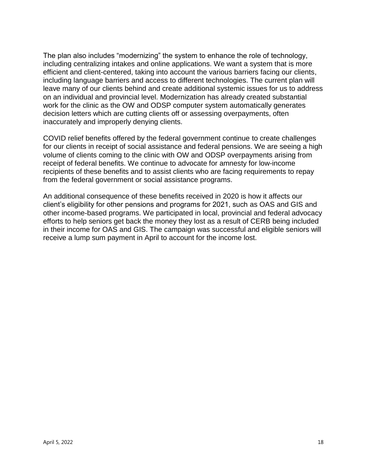The plan also includes "modernizing" the system to enhance the role of technology, including centralizing intakes and online applications. We want a system that is more efficient and client-centered, taking into account the various barriers facing our clients, including language barriers and access to different technologies. The current plan will leave many of our clients behind and create additional systemic issues for us to address on an individual and provincial level. Modernization has already created substantial work for the clinic as the OW and ODSP computer system automatically generates decision letters which are cutting clients off or assessing overpayments, often inaccurately and improperly denying clients.

COVID relief benefits offered by the federal government continue to create challenges for our clients in receipt of social assistance and federal pensions. We are seeing a high volume of clients coming to the clinic with OW and ODSP overpayments arising from receipt of federal benefits. We continue to advocate for amnesty for low-income recipients of these benefits and to assist clients who are facing requirements to repay from the federal government or social assistance programs.

An additional consequence of these benefits received in 2020 is how it affects our client's eligibility for other pensions and programs for 2021, such as OAS and GIS and other income-based programs. We participated in local, provincial and federal advocacy efforts to help seniors get back the money they lost as a result of CERB being included in their income for OAS and GIS. The campaign was successful and eligible seniors will receive a lump sum payment in April to account for the income lost.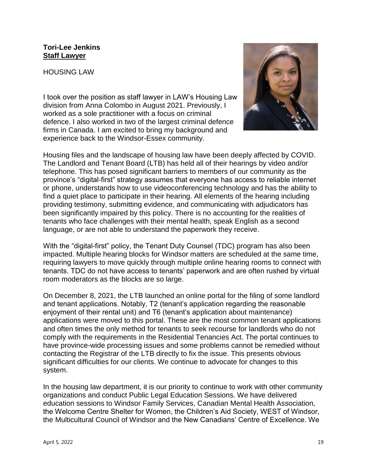#### **Tori-Lee Jenkins Staff Lawyer**

HOUSING LAW

I took over the position as staff lawyer in LAW's Housing Law division from Anna Colombo in August 2021. Previously, I worked as a sole practitioner with a focus on criminal defence. I also worked in two of the largest criminal defence firms in Canada. I am excited to bring my background and experience back to the Windsor-Essex community.



Housing files and the landscape of housing law have been deeply affected by COVID. The Landlord and Tenant Board (LTB) has held all of their hearings by video and/or telephone. This has posed significant barriers to members of our community as the province's "digital-first" strategy assumes that everyone has access to reliable internet or phone, understands how to use videoconferencing technology and has the ability to find a quiet place to participate in their hearing. All elements of the hearing including providing testimony, submitting evidence, and communicating with adjudicators has been significantly impaired by this policy. There is no accounting for the realities of tenants who face challenges with their mental health, speak English as a second language, or are not able to understand the paperwork they receive.

With the "digital-first" policy, the Tenant Duty Counsel (TDC) program has also been impacted. Multiple hearing blocks for Windsor matters are scheduled at the same time, requiring lawyers to move quickly through multiple online hearing rooms to connect with tenants. TDC do not have access to tenants' paperwork and are often rushed by virtual room moderators as the blocks are so large.

On December 8, 2021, the LTB launched an online portal for the filing of some landlord and tenant applications. Notably, T2 (tenant's application regarding the reasonable enjoyment of their rental unit) and T6 (tenant's application about maintenance) applications were moved to this portal. These are the most common tenant applications and often times the only method for tenants to seek recourse for landlords who do not comply with the requirements in the Residential Tenancies Act. The portal continues to have province-wide processing issues and some problems cannot be remedied without contacting the Registrar of the LTB directly to fix the issue. This presents obvious significant difficulties for our clients. We continue to advocate for changes to this system.

In the housing law department, it is our priority to continue to work with other community organizations and conduct Public Legal Education Sessions. We have delivered education sessions to Windsor Family Services, Canadian Mental Health Association, the Welcome Centre Shelter for Women, the Children's Aid Society, WEST of Windsor, the Multicultural Council of Windsor and the New Canadians' Centre of Excellence. We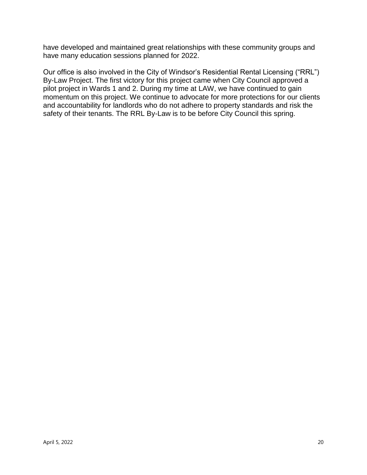have developed and maintained great relationships with these community groups and have many education sessions planned for 2022.

Our office is also involved in the City of Windsor's Residential Rental Licensing ("RRL") By-Law Project. The first victory for this project came when City Council approved a pilot project in Wards 1 and 2. During my time at LAW, we have continued to gain momentum on this project. We continue to advocate for more protections for our clients and accountability for landlords who do not adhere to property standards and risk the safety of their tenants. The RRL By-Law is to be before City Council this spring.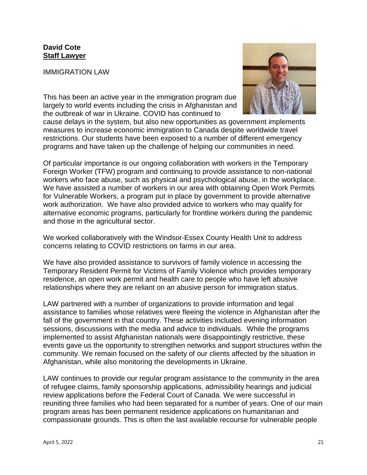## **David Cote Staff Lawyer**

IMMIGRATION LAW

This has been an active year in the immigration program due largely to world events including the crisis in Afghanistan and the outbreak of war in Ukraine. COVID has continued to



cause delays in the system, but also new opportunities as government implements measures to increase economic immigration to Canada despite worldwide travel restrictions. Our students have been exposed to a number of different emergency programs and have taken up the challenge of helping our communities in need.

Of particular importance is our ongoing collaboration with workers in the Temporary Foreign Worker (TFW) program and continuing to provide assistance to non-national workers who face abuse, such as physical and psychological abuse, in the workplace. We have assisted a number of workers in our area with obtaining Open Work Permits for Vulnerable Workers, a program put in place by government to provide alternative work authorization. We have also provided advice to workers who may qualify for alternative economic programs, particularly for frontline workers during the pandemic and those in the agricultural sector.

We worked collaboratively with the Windsor-Essex County Health Unit to address concerns relating to COVID restrictions on farms in our area.

We have also provided assistance to survivors of family violence in accessing the Temporary Resident Permit for Victims of Family Violence which provides temporary residence, an open work permit and health care to people who have left abusive relationships where they are reliant on an abusive person for immigration status.

LAW partnered with a number of organizations to provide information and legal assistance to families whose relatives were fleeing the violence in Afghanistan after the fall of the government in that country. These activities included evening information sessions, discussions with the media and advice to individuals. While the programs implemented to assist Afghanistan nationals were disappointingly restrictive, these events gave us the opportunity to strengthen networks and support structures within the community. We remain focused on the safety of our clients affected by the situation in Afghanistan, while also monitoring the developments in Ukraine.

LAW continues to provide our regular program assistance to the community in the area of refugee claims, family sponsorship applications, admissibility hearings and judicial review applications before the Federal Court of Canada. We were successful in reuniting three families who had been separated for a number of years. One of our main program areas has been permanent residence applications on humanitarian and compassionate grounds. This is often the last available recourse for vulnerable people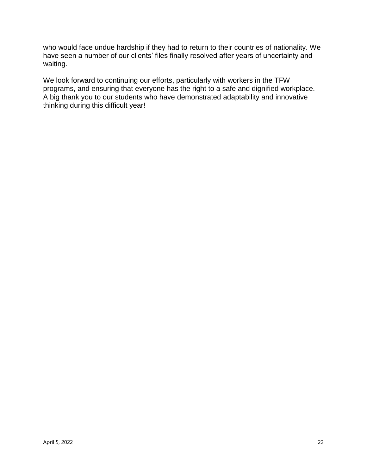who would face undue hardship if they had to return to their countries of nationality. We have seen a number of our clients' files finally resolved after years of uncertainty and waiting.

We look forward to continuing our efforts, particularly with workers in the TFW programs, and ensuring that everyone has the right to a safe and dignified workplace. A big thank you to our students who have demonstrated adaptability and innovative thinking during this difficult year!